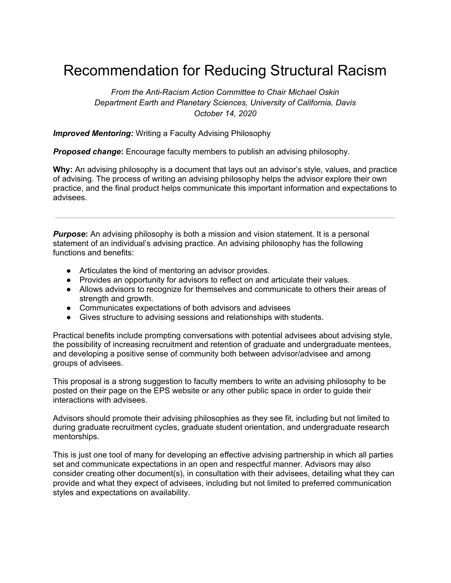## Recommendation for Reducing Structural Racism

*From the Anti-Racism Action Committee to Chair Michael Oskin Department Earth and Planetary Sciences, University of California, Davis October 14, 2020*

*Improved Mentoring:* Writing a Faculty Advising Philosophy

*Proposed change***:** Encourage faculty members to publish an advising philosophy.

**Why:** An advising philosophy is a document that lays out an advisor's style, values, and practice of advising. The process of writing an advising philosophy helps the advisor explore their own practice, and the final product helps communicate this important information and expectations to advisees.

*Purpose*: An advising philosophy is both a mission and vision statement. It is a personal statement of an individual's advising practice. An advising philosophy has the following functions and benefits:

- Articulates the kind of mentoring an advisor provides.
- Provides an opportunity for advisors to reflect on and articulate their values.
- Allows advisors to recognize for themselves and communicate to others their areas of strength and growth.
- Communicates expectations of both advisors and advisees
- Gives structure to advising sessions and relationships with students.

Practical benefits include prompting conversations with potential advisees about advising style, the possibility of increasing recruitment and retention of graduate and undergraduate mentees, and developing a positive sense of community both between advisor/advisee and among groups of advisees.

This proposal is a strong suggestion to faculty members to write an advising philosophy to be posted on their page on the EPS website or any other public space in order to guide their interactions with advisees.

Advisors should promote their advising philosophies as they see fit, including but not limited to during graduate recruitment cycles, graduate student orientation, and undergraduate research mentorships.

This is just one tool of many for developing an effective advising partnership in which all parties set and communicate expectations in an open and respectful manner. Advisors may also consider creating other document(s), in consultation with their advisees, detailing what they can provide and what they expect of advisees, including but not limited to preferred communication styles and expectations on availability.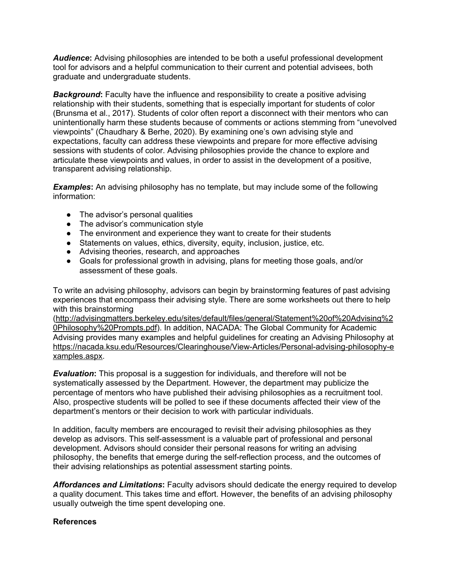*Audience***:** Advising philosophies are intended to be both a useful professional development tool for advisors and a helpful communication to their current and potential advisees, both graduate and undergraduate students.

**Background:** Faculty have the influence and responsibility to create a positive advising relationship with their students, something that is especially important for students of color (Brunsma et al., 2017). Students of color often report a disconnect with their mentors who can unintentionally harm these students because of comments or actions stemming from "unevolved viewpoints" (Chaudhary & Berhe, 2020). By examining one's own advising style and expectations, faculty can address these viewpoints and prepare for more effective advising sessions with students of color. Advising philosophies provide the chance to explore and articulate these viewpoints and values, in order to assist in the development of a positive, transparent advising relationship.

*Examples***:** An advising philosophy has no template, but may include some of the following information:

- The advisor's personal qualities
- The advisor's communication style
- The environment and experience they want to create for their students
- Statements on values, ethics, diversity, equity, inclusion, justice, etc.
- Advising theories, research, and approaches
- Goals for professional growth in advising, plans for meeting those goals, and/or assessment of these goals.

To write an advising philosophy, advisors can begin by brainstorming features of past advising experiences that encompass their advising style. There are some worksheets out there to help with this brainstorming

([http://advisingmatters.berkeley.edu/sites/default/files/general/Statement%20of%20Advising%2](http://advisingmatters.berkeley.edu/sites/default/files/general/Statement%20of%20Advising%20Philosophy%20Prompts.pdf) [0Philosophy%20Prompts.pdf](http://advisingmatters.berkeley.edu/sites/default/files/general/Statement%20of%20Advising%20Philosophy%20Prompts.pdf)). In addition, NACADA: The Global Community for Academic Advising provides many examples and helpful guidelines for creating an Advising Philosophy at [https://nacada.ksu.edu/Resources/Clearinghouse/View-Articles/Personal-advising-philosophy-e](https://nacada.ksu.edu/Resources/Clearinghouse/View-Articles/Personal-advising-philosophy-examples.aspx) [xamples.aspx.](https://nacada.ksu.edu/Resources/Clearinghouse/View-Articles/Personal-advising-philosophy-examples.aspx)

*Evaluation***:** This proposal is a suggestion for individuals, and therefore will not be systematically assessed by the Department. However, the department may publicize the percentage of mentors who have published their advising philosophies as a recruitment tool. Also, prospective students will be polled to see if these documents affected their view of the department's mentors or their decision to work with particular individuals.

In addition, faculty members are encouraged to revisit their advising philosophies as they develop as advisors. This self-assessment is a valuable part of professional and personal development. Advisors should consider their personal reasons for writing an advising philosophy, the benefits that emerge during the self-reflection process, and the outcomes of their advising relationships as potential assessment starting points.

*Affordances and Limitations***:** Faculty advisors should dedicate the energy required to develop a quality document. This takes time and effort. However, the benefits of an advising philosophy usually outweigh the time spent developing one.

## **References**